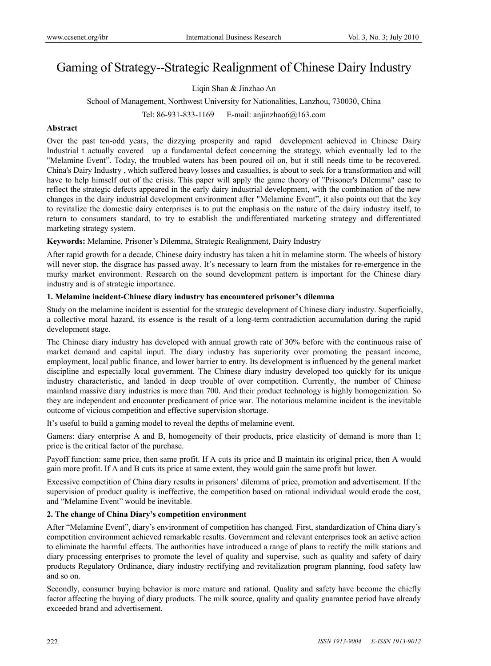# Gaming of Strategy--Strategic Realignment of Chinese Dairy Industry

Liqin Shan & Jinzhao An

School of Management, Northwest University for Nationalities, Lanzhou, 730030, China

Tel: 86-931-833-1169 E-mail: anjinzhao6@163.com

## **Abstract**

Over the past ten-odd years, the dizzying prosperity and rapid development achieved in Chinese Dairy Industrial t actually covered up a fundamental defect concerning the strategy, which eventually led to the "Melamine Event". Today, the troubled waters has been poured oil on, but it still needs time to be recovered. China's Dairy Industry , which suffered heavy losses and casualties, is about to seek for a transformation and will have to help himself out of the crisis. This paper will apply the game theory of "Prisoner's Dilemma" case to reflect the strategic defects appeared in the early dairy industrial development, with the combination of the new changes in the dairy industrial development environment after "Melamine Event", it also points out that the key to revitalize the domestic dairy enterprises is to put the emphasis on the nature of the dairy industry itself, to return to consumers standard, to try to establish the undifferentiated marketing strategy and differentiated marketing strategy system.

**Keywords:** Melamine, Prisoner's Dilemma, Strategic Realignment, Dairy Industry

After rapid growth for a decade, Chinese dairy industry has taken a hit in melamine storm. The wheels of history will never stop, the disgrace has passed away. It's necessary to learn from the mistakes for re-emergence in the murky market environment. Research on the sound development pattern is important for the Chinese diary industry and is of strategic importance.

## **1. Melamine incident-Chinese diary industry has encountered prisoner's dilemma**

Study on the melamine incident is essential for the strategic development of Chinese diary industry. Superficially, a collective moral hazard, its essence is the result of a long-term contradiction accumulation during the rapid development stage.

The Chinese diary industry has developed with annual growth rate of 30% before with the continuous raise of market demand and capital input. The diary industry has superiority over promoting the peasant income, employment, local public finance, and lower barrier to entry. Its development is influenced by the general market discipline and especially local government. The Chinese diary industry developed too quickly for its unique industry characteristic, and landed in deep trouble of over competition. Currently, the number of Chinese mainland massive diary industries is more than 700. And their product technology is highly homogenization. So they are independent and encounter predicament of price war. The notorious melamine incident is the inevitable outcome of vicious competition and effective supervision shortage.

It's useful to build a gaming model to reveal the depths of melamine event.

Gamers: diary enterprise A and B, homogeneity of their products, price elasticity of demand is more than 1; price is the critical factor of the purchase.

Payoff function: same price, then same profit. If A cuts its price and B maintain its original price, then A would gain more profit. If A and B cuts its price at same extent, they would gain the same profit but lower.

Excessive competition of China diary results in prisoners' dilemma of price, promotion and advertisement. If the supervision of product quality is ineffective, the competition based on rational individual would erode the cost, and "Melamine Event" would be inevitable.

# **2. The change of China Diary's competition environment**

After "Melamine Event", diary's environment of competition has changed. First, standardization of China diary's competition environment achieved remarkable results. Government and relevant enterprises took an active action to eliminate the harmful effects. The authorities have introduced a range of plans to rectify the milk stations and diary processing enterprises to promote the level of quality and supervise, such as quality and safety of dairy products Regulatory Ordinance, diary industry rectifying and revitalization program planning, food safety law and so on.

Secondly, consumer buying behavior is more mature and rational. Quality and safety have become the chiefly factor affecting the buying of diary products. The milk source, quality and quality guarantee period have already exceeded brand and advertisement.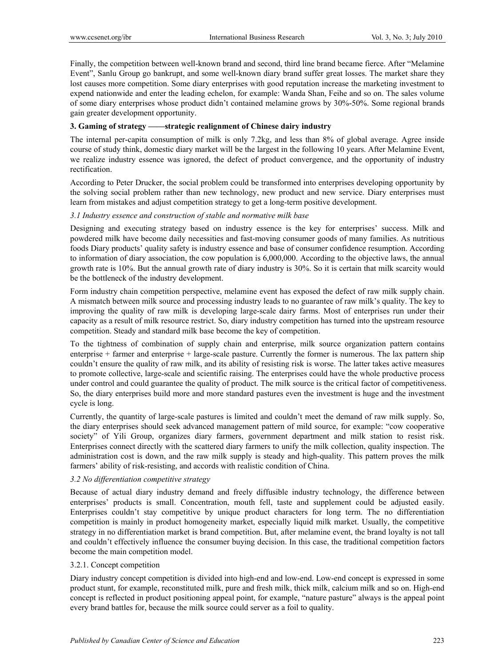Finally, the competition between well-known brand and second, third line brand became fierce. After "Melamine Event", Sanlu Group go bankrupt, and some well-known diary brand suffer great losses. The market share they lost causes more competition. Some diary enterprises with good reputation increase the marketing investment to expend nationwide and enter the leading echelon, for example: Wanda Shan, Feihe and so on. The sales volume of some diary enterprises whose product didn't contained melamine grows by 30%-50%. Some regional brands gain greater development opportunity.

## **3. Gaming of strategy ——strategic realignment of Chinese dairy industry**

The internal per-capita consumption of milk is only 7.2kg, and less than 8% of global average. Agree inside course of study think, domestic diary market will be the largest in the following 10 years. After Melamine Event, we realize industry essence was ignored, the defect of product convergence, and the opportunity of industry rectification.

According to Peter Drucker, the social problem could be transformed into enterprises developing opportunity by the solving social problem rather than new technology, new product and new service. Diary enterprises must learn from mistakes and adjust competition strategy to get a long-term positive development.

## *3.1 Industry essence and construction of stable and normative milk base*

Designing and executing strategy based on industry essence is the key for enterprises' success. Milk and powdered milk have become daily necessities and fast-moving consumer goods of many families. As nutritious foods Diary products' quality safety is industry essence and base of consumer confidence resumption. According to information of diary association, the cow population is 6,000,000. According to the objective laws, the annual growth rate is 10%. But the annual growth rate of diary industry is 30%. So it is certain that milk scarcity would be the bottleneck of the industry development.

Form industry chain competition perspective, melamine event has exposed the defect of raw milk supply chain. A mismatch between milk source and processing industry leads to no guarantee of raw milk's quality. The key to improving the quality of raw milk is developing large-scale dairy farms. Most of enterprises run under their capacity as a result of milk resource restrict. So, diary industry competition has turned into the upstream resource competition. Steady and standard milk base become the key of competition.

To the tightness of combination of supply chain and enterprise, milk source organization pattern contains enterprise + farmer and enterprise + large-scale pasture. Currently the former is numerous. The lax pattern ship couldn't ensure the quality of raw milk, and its ability of resisting risk is worse. The latter takes active measures to promote collective, large-scale and scientific raising. The enterprises could have the whole productive process under control and could guarantee the quality of product. The milk source is the critical factor of competitiveness. So, the diary enterprises build more and more standard pastures even the investment is huge and the investment cycle is long.

Currently, the quantity of large-scale pastures is limited and couldn't meet the demand of raw milk supply. So, the diary enterprises should seek advanced management pattern of mild source, for example: "cow cooperative society" of Yili Group, organizes diary farmers, government department and milk station to resist risk. Enterprises connect directly with the scattered diary farmers to unify the milk collection, quality inspection. The administration cost is down, and the raw milk supply is steady and high-quality. This pattern proves the milk farmers' ability of risk-resisting, and accords with realistic condition of China.

# *3.2 No differentiation competitive strategy*

Because of actual diary industry demand and freely diffusible industry technology, the difference between enterprises' products is small. Concentration, mouth fell, taste and supplement could be adjusted easily. Enterprises couldn't stay competitive by unique product characters for long term. The no differentiation competition is mainly in product homogeneity market, especially liquid milk market. Usually, the competitive strategy in no differentiation market is brand competition. But, after melamine event, the brand loyalty is not tall and couldn't effectively influence the consumer buying decision. In this case, the traditional competition factors become the main competition model.

#### 3.2.1. Concept competition

Diary industry concept competition is divided into high-end and low-end. Low-end concept is expressed in some product stunt, for example, reconstituted milk, pure and fresh milk, thick milk, calcium milk and so on. High-end concept is reflected in product positioning appeal point, for example, "nature pasture" always is the appeal point every brand battles for, because the milk source could server as a foil to quality.